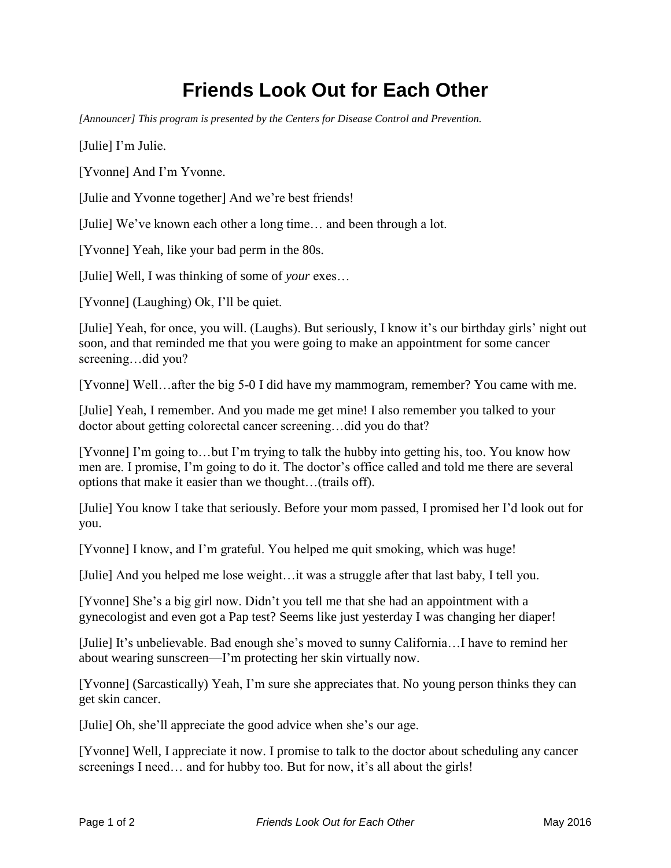## **Friends Look Out for Each Other**

*[Announcer] This program is presented by the Centers for Disease Control and Prevention.* 

[Julie] I'm Julie.

[Yvonne] And I'm Yvonne.

[Julie and Yvonne together] And we're best friends!

[Julie] We've known each other a long time… and been through a lot.

[Yvonne] Yeah, like your bad perm in the 80s.

[Julie] Well, I was thinking of some of *your* exes…

[Yvonne] (Laughing) Ok, I'll be quiet.

[Julie] Yeah, for once, you will. (Laughs). But seriously, I know it's our birthday girls' night out soon, and that reminded me that you were going to make an appointment for some cancer screening…did you?

[Yvonne] Well…after the big 5-0 I did have my mammogram, remember? You came with me.

[Julie] Yeah, I remember. And you made me get mine! I also remember you talked to your doctor about getting colorectal cancer screening…did you do that?

[Yvonne] I'm going to…but I'm trying to talk the hubby into getting his, too. You know how men are. I promise, I'm going to do it. The doctor's office called and told me there are several options that make it easier than we thought…(trails off).

[Julie] You know I take that seriously. Before your mom passed, I promised her I'd look out for you.

[Yvonne] I know, and I'm grateful. You helped me quit smoking, which was huge!

[Julie] And you helped me lose weight…it was a struggle after that last baby, I tell you.

[Yvonne] She's a big girl now. Didn't you tell me that she had an appointment with a gynecologist and even got a Pap test? Seems like just yesterday I was changing her diaper!

[Julie] It's unbelievable. Bad enough she's moved to sunny California…I have to remind her about wearing sunscreen—I'm protecting her skin virtually now.

[Yvonne] (Sarcastically) Yeah, I'm sure she appreciates that. No young person thinks they can get skin cancer.

[Julie] Oh, she'll appreciate the good advice when she's our age.

[Yvonne] Well, I appreciate it now. I promise to talk to the doctor about scheduling any cancer screenings I need... and for hubby too. But for now, it's all about the girls!